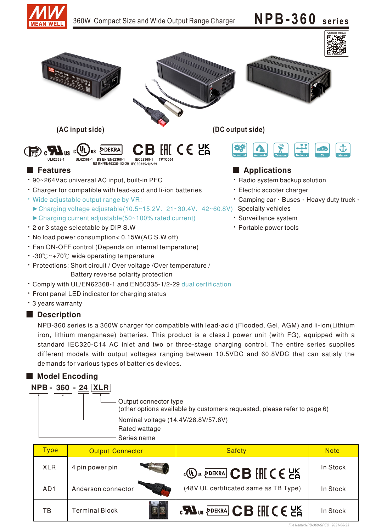



- Comply with UL/EN62368-1 and EN60335-1/2-29 dual certification
- Front panel LED indicator for charging status
- 3 years warranty

## Description

NPB-360 series is a 360W charger for compatible with lead-acid (Flooded, Gel, AGM) and li-ion(Lithium iron, lithium manganese) batteries. This product is a class I power unit (with FG), equipped with a standard IEC320-C14 AC inlet and two or three-stage charging control. The entire series supplies different models with output voltages ranging between 10.5VDC and 60.8VDC that can satisfy the demands for various types of batteries devices.

# ■ Model Encoding

| $NPB - 360 -  24  XLR $ |                                                                                                   |
|-------------------------|---------------------------------------------------------------------------------------------------|
|                         | Output connector type<br>(other options available by customers requested, please refer to page 6) |
|                         | Nominal voltage (14.4V/28.8V/57.6V)                                                               |
|                         | Rated wattage                                                                                     |
|                         | Series name                                                                                       |

| <mark>Type</mark> | <b>Output Connector</b> | <b>Safety</b>                                                                                                                                                                          | <b>Note</b> |
|-------------------|-------------------------|----------------------------------------------------------------------------------------------------------------------------------------------------------------------------------------|-------------|
| <b>XLR</b>        | 4 pin power pin         | $\mathbb{C}$ $\mathbb{D}$ <sub>us</sub> $\overline{\mathbb{P}}$ dekra $\overline{\mathbb{C}}$ <b>B</b> $\overline{\mathbb{H}}$ $\mathbb{C}$ $\in$ $\mathbb{C}$ $\overline{\mathbb{S}}$ | In Stock    |
| AD <sub>1</sub>   | Anderson connector      | (48V UL certificated same as TB Type)                                                                                                                                                  | In Stock    |
| ТB                | <b>Terminal Block</b>   | <b>EXA</b> US PDEKRA CB FHICE US                                                                                                                                                       | In Stock    |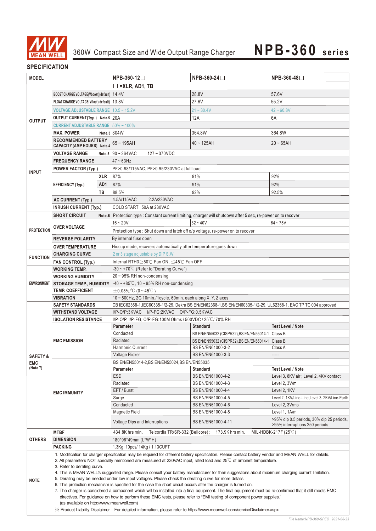

# **SPECIFICATION**

| <b>MODEL</b>                      |                                                                                                                                                                                                                                                                                                                                                                                                                                                                                                                                                                                                                                                                                                                                                                                                                                                                                                                                                                                                                                                                                                                                                                         |                     | NPB-360-12                                                                                                     | NPB-360-24□                                                                                            | NPB-360-48□                                                                 |  |  |
|-----------------------------------|-------------------------------------------------------------------------------------------------------------------------------------------------------------------------------------------------------------------------------------------------------------------------------------------------------------------------------------------------------------------------------------------------------------------------------------------------------------------------------------------------------------------------------------------------------------------------------------------------------------------------------------------------------------------------------------------------------------------------------------------------------------------------------------------------------------------------------------------------------------------------------------------------------------------------------------------------------------------------------------------------------------------------------------------------------------------------------------------------------------------------------------------------------------------------|---------------------|----------------------------------------------------------------------------------------------------------------|--------------------------------------------------------------------------------------------------------|-----------------------------------------------------------------------------|--|--|
|                                   |                                                                                                                                                                                                                                                                                                                                                                                                                                                                                                                                                                                                                                                                                                                                                                                                                                                                                                                                                                                                                                                                                                                                                                         |                     | $\Box$ =XLR, AD1, TB                                                                                           |                                                                                                        |                                                                             |  |  |
|                                   | BOOST CHARGE VOLTAGE(Vboost)(default)   14.4V                                                                                                                                                                                                                                                                                                                                                                                                                                                                                                                                                                                                                                                                                                                                                                                                                                                                                                                                                                                                                                                                                                                           |                     |                                                                                                                | 28.8V                                                                                                  | 57.6V                                                                       |  |  |
|                                   | FLOAT CHARGE VOLTAGE(Vfloat)(default)   13.8V                                                                                                                                                                                                                                                                                                                                                                                                                                                                                                                                                                                                                                                                                                                                                                                                                                                                                                                                                                                                                                                                                                                           |                     |                                                                                                                | 27.6V                                                                                                  | 55.2V                                                                       |  |  |
|                                   |                                                                                                                                                                                                                                                                                                                                                                                                                                                                                                                                                                                                                                                                                                                                                                                                                                                                                                                                                                                                                                                                                                                                                                         |                     |                                                                                                                |                                                                                                        |                                                                             |  |  |
|                                   | <b>VOLTAGE ADJUSTABLE RANGE   10.5 ~ 15.2V</b>                                                                                                                                                                                                                                                                                                                                                                                                                                                                                                                                                                                                                                                                                                                                                                                                                                                                                                                                                                                                                                                                                                                          |                     |                                                                                                                | $21 - 30.4V$                                                                                           | $42 - 60.8V$                                                                |  |  |
| <b>OUTPUT</b>                     | OUTPUT CURRENT(Typ.) Note.5 20A                                                                                                                                                                                                                                                                                                                                                                                                                                                                                                                                                                                                                                                                                                                                                                                                                                                                                                                                                                                                                                                                                                                                         |                     |                                                                                                                | 12A                                                                                                    | 6A                                                                          |  |  |
|                                   | <b>CURRENT ADJUSTABLE RANGE   50% ~ 100%</b>                                                                                                                                                                                                                                                                                                                                                                                                                                                                                                                                                                                                                                                                                                                                                                                                                                                                                                                                                                                                                                                                                                                            |                     |                                                                                                                |                                                                                                        |                                                                             |  |  |
|                                   | <b>MAX. POWER</b>                                                                                                                                                                                                                                                                                                                                                                                                                                                                                                                                                                                                                                                                                                                                                                                                                                                                                                                                                                                                                                                                                                                                                       |                     | Note.3 304W                                                                                                    | 364.8W                                                                                                 | 364.8W                                                                      |  |  |
|                                   | <b>RECOMMENDED BATTERY</b><br>CAPACITY (AMP HOURS) Note.4                                                                                                                                                                                                                                                                                                                                                                                                                                                                                                                                                                                                                                                                                                                                                                                                                                                                                                                                                                                                                                                                                                               |                     | $65 - 195AH$                                                                                                   | $40 - 125AH$                                                                                           | $20 - 65$ AH                                                                |  |  |
|                                   | <b>VOLTAGE RANGE</b>                                                                                                                                                                                                                                                                                                                                                                                                                                                                                                                                                                                                                                                                                                                                                                                                                                                                                                                                                                                                                                                                                                                                                    |                     | Note.5 $90 - 264$ VAC<br>$127 - 370$ VDC                                                                       |                                                                                                        |                                                                             |  |  |
|                                   | <b>FREQUENCY RANGE</b>                                                                                                                                                                                                                                                                                                                                                                                                                                                                                                                                                                                                                                                                                                                                                                                                                                                                                                                                                                                                                                                                                                                                                  |                     | $47 - 63$ Hz                                                                                                   |                                                                                                        |                                                                             |  |  |
|                                   | <b>POWER FACTOR (Typ.)</b>                                                                                                                                                                                                                                                                                                                                                                                                                                                                                                                                                                                                                                                                                                                                                                                                                                                                                                                                                                                                                                                                                                                                              |                     | PF>0.98/115VAC, PF>0.95/230VAC at full load                                                                    |                                                                                                        |                                                                             |  |  |
| <b>INPUT</b>                      |                                                                                                                                                                                                                                                                                                                                                                                                                                                                                                                                                                                                                                                                                                                                                                                                                                                                                                                                                                                                                                                                                                                                                                         | <b>XLR</b>          | 87%                                                                                                            | 91%                                                                                                    | 92%                                                                         |  |  |
|                                   |                                                                                                                                                                                                                                                                                                                                                                                                                                                                                                                                                                                                                                                                                                                                                                                                                                                                                                                                                                                                                                                                                                                                                                         | AD1                 | 87%                                                                                                            |                                                                                                        | 92%                                                                         |  |  |
|                                   | EFFICIENCY (Typ.)                                                                                                                                                                                                                                                                                                                                                                                                                                                                                                                                                                                                                                                                                                                                                                                                                                                                                                                                                                                                                                                                                                                                                       |                     |                                                                                                                | 91%                                                                                                    |                                                                             |  |  |
|                                   |                                                                                                                                                                                                                                                                                                                                                                                                                                                                                                                                                                                                                                                                                                                                                                                                                                                                                                                                                                                                                                                                                                                                                                         | TB                  | 88.5%<br>2.2A/230VAC                                                                                           | 92%                                                                                                    | 92.5%                                                                       |  |  |
|                                   | AC CURRENT (Typ.)                                                                                                                                                                                                                                                                                                                                                                                                                                                                                                                                                                                                                                                                                                                                                                                                                                                                                                                                                                                                                                                                                                                                                       |                     | 4.5A/115VAC                                                                                                    |                                                                                                        |                                                                             |  |  |
|                                   | <b>INRUSH CURRENT (Typ.)</b>                                                                                                                                                                                                                                                                                                                                                                                                                                                                                                                                                                                                                                                                                                                                                                                                                                                                                                                                                                                                                                                                                                                                            |                     | COLD START 50A at 230VAC                                                                                       |                                                                                                        |                                                                             |  |  |
|                                   | <b>SHORT CIRCUIT</b>                                                                                                                                                                                                                                                                                                                                                                                                                                                                                                                                                                                                                                                                                                                                                                                                                                                                                                                                                                                                                                                                                                                                                    | Note.6              |                                                                                                                | Protection type : Constant current limiting, charger will shutdown after 5 sec, re-power on to recover |                                                                             |  |  |
|                                   | <b>OVER VOLTAGE</b>                                                                                                                                                                                                                                                                                                                                                                                                                                                                                                                                                                                                                                                                                                                                                                                                                                                                                                                                                                                                                                                                                                                                                     |                     | $16 - 20V$                                                                                                     | $32 - 40V$                                                                                             | $64 - 75V$                                                                  |  |  |
| <b>PROTECTION</b>                 |                                                                                                                                                                                                                                                                                                                                                                                                                                                                                                                                                                                                                                                                                                                                                                                                                                                                                                                                                                                                                                                                                                                                                                         |                     | Protection type: Shut down and latch off o/p voltage, re-power on to recover                                   |                                                                                                        |                                                                             |  |  |
|                                   | <b>REVERSE POLARITY</b>                                                                                                                                                                                                                                                                                                                                                                                                                                                                                                                                                                                                                                                                                                                                                                                                                                                                                                                                                                                                                                                                                                                                                 |                     | By internal fuse open                                                                                          |                                                                                                        |                                                                             |  |  |
|                                   | <b>OVER TEMPERATURE</b>                                                                                                                                                                                                                                                                                                                                                                                                                                                                                                                                                                                                                                                                                                                                                                                                                                                                                                                                                                                                                                                                                                                                                 |                     | Hiccup mode, recovers automatically after temperature goes down                                                |                                                                                                        |                                                                             |  |  |
| <b>FUNCTION</b>                   | <b>CHARGING CURVE</b>                                                                                                                                                                                                                                                                                                                                                                                                                                                                                                                                                                                                                                                                                                                                                                                                                                                                                                                                                                                                                                                                                                                                                   |                     | 2 or 3 stage adjustable by DIP S.W                                                                             |                                                                                                        |                                                                             |  |  |
|                                   | <b>FAN CONTROL (Typ.)</b>                                                                                                                                                                                                                                                                                                                                                                                                                                                                                                                                                                                                                                                                                                                                                                                                                                                                                                                                                                                                                                                                                                                                               |                     | Internal RTH3 ≥50℃ Fan ON, ≤45℃ Fan OFF                                                                        |                                                                                                        |                                                                             |  |  |
|                                   | <b>WORKING TEMP.</b>                                                                                                                                                                                                                                                                                                                                                                                                                                                                                                                                                                                                                                                                                                                                                                                                                                                                                                                                                                                                                                                                                                                                                    |                     | $-30 \sim +70^{\circ}$ C (Refer to "Derating Curve")                                                           |                                                                                                        |                                                                             |  |  |
|                                   | <b>WORKING HUMIDITY</b>                                                                                                                                                                                                                                                                                                                                                                                                                                                                                                                                                                                                                                                                                                                                                                                                                                                                                                                                                                                                                                                                                                                                                 |                     | 20~95% RH non-condensing                                                                                       |                                                                                                        |                                                                             |  |  |
| <b>ENVIRONMENT</b>                | <b>STORAGE TEMP., HUMIDITY</b>                                                                                                                                                                                                                                                                                                                                                                                                                                                                                                                                                                                                                                                                                                                                                                                                                                                                                                                                                                                                                                                                                                                                          |                     | $-40 \sim +85^{\circ}$ C, 10 ~ 95% RH non-condensing                                                           |                                                                                                        |                                                                             |  |  |
|                                   | <b>TEMP. COEFFICIENT</b>                                                                                                                                                                                                                                                                                                                                                                                                                                                                                                                                                                                                                                                                                                                                                                                                                                                                                                                                                                                                                                                                                                                                                |                     | $\pm 0.05\%$ /°C (0 ~ 45°C)                                                                                    |                                                                                                        |                                                                             |  |  |
|                                   | VIBRATION                                                                                                                                                                                                                                                                                                                                                                                                                                                                                                                                                                                                                                                                                                                                                                                                                                                                                                                                                                                                                                                                                                                                                               |                     | 10 ~ 500Hz, 2G 10min./1cycle, 60min. each along X, Y, Z axes                                                   |                                                                                                        |                                                                             |  |  |
|                                   | <b>SAFETY STANDARDS</b>                                                                                                                                                                                                                                                                                                                                                                                                                                                                                                                                                                                                                                                                                                                                                                                                                                                                                                                                                                                                                                                                                                                                                 |                     | CB IEC62368-1, IEC60335-1/2-29, Dekra BS EN/EN62368-1, BS EN/EN60335-1/2-29, UL62368-1, EAC TP TC 004 approved |                                                                                                        |                                                                             |  |  |
|                                   | <b>WITHSTAND VOLTAGE</b>                                                                                                                                                                                                                                                                                                                                                                                                                                                                                                                                                                                                                                                                                                                                                                                                                                                                                                                                                                                                                                                                                                                                                |                     | I/P-O/P:3KVAC I/P-FG:2KVAC O/P-FG:0.5KVAC                                                                      |                                                                                                        |                                                                             |  |  |
|                                   | <b>ISOLATION RESISTANCE</b>                                                                                                                                                                                                                                                                                                                                                                                                                                                                                                                                                                                                                                                                                                                                                                                                                                                                                                                                                                                                                                                                                                                                             |                     | I/P-O/P, I/P-FG, O/P-FG:100M Ohms / 500VDC / 25°C/70% RH                                                       |                                                                                                        |                                                                             |  |  |
|                                   |                                                                                                                                                                                                                                                                                                                                                                                                                                                                                                                                                                                                                                                                                                                                                                                                                                                                                                                                                                                                                                                                                                                                                                         |                     | <b>Parameter</b><br>Conducted                                                                                  | <b>Standard</b>                                                                                        | <b>Test Level / Note</b>                                                    |  |  |
|                                   |                                                                                                                                                                                                                                                                                                                                                                                                                                                                                                                                                                                                                                                                                                                                                                                                                                                                                                                                                                                                                                                                                                                                                                         |                     | Radiated                                                                                                       | BS EN/EN55032 (CISPR32), BS EN/EN55014-1                                                               | Class B                                                                     |  |  |
|                                   | <b>EMC EMISSION</b>                                                                                                                                                                                                                                                                                                                                                                                                                                                                                                                                                                                                                                                                                                                                                                                                                                                                                                                                                                                                                                                                                                                                                     |                     | <b>Harmonic Current</b>                                                                                        | BS EN/EN55032 (CISPR32), BS EN/EN55014-1<br>BS EN/EN61000-3-2                                          | Class B<br>Class A                                                          |  |  |
|                                   |                                                                                                                                                                                                                                                                                                                                                                                                                                                                                                                                                                                                                                                                                                                                                                                                                                                                                                                                                                                                                                                                                                                                                                         |                     | Voltage Flicker                                                                                                | BS EN/EN61000-3-3                                                                                      |                                                                             |  |  |
| <b>SAFETY &amp;</b><br><b>EMC</b> |                                                                                                                                                                                                                                                                                                                                                                                                                                                                                                                                                                                                                                                                                                                                                                                                                                                                                                                                                                                                                                                                                                                                                                         |                     | BS EN/EN55014-2, BS EN/EN55024, BS EN/EN55035                                                                  |                                                                                                        |                                                                             |  |  |
| (Note 7)                          |                                                                                                                                                                                                                                                                                                                                                                                                                                                                                                                                                                                                                                                                                                                                                                                                                                                                                                                                                                                                                                                                                                                                                                         |                     | <b>Parameter</b>                                                                                               | <b>Standard</b>                                                                                        | <b>Test Level / Note</b>                                                    |  |  |
|                                   |                                                                                                                                                                                                                                                                                                                                                                                                                                                                                                                                                                                                                                                                                                                                                                                                                                                                                                                                                                                                                                                                                                                                                                         |                     | <b>ESD</b>                                                                                                     | BS EN/EN61000-4-2                                                                                      | Level 3, 8KV air ; Level 2, 4KV contact                                     |  |  |
|                                   |                                                                                                                                                                                                                                                                                                                                                                                                                                                                                                                                                                                                                                                                                                                                                                                                                                                                                                                                                                                                                                                                                                                                                                         |                     | Radiated                                                                                                       | BS EN/EN61000-4-3                                                                                      | Level $2, 3V/m$                                                             |  |  |
|                                   | <b>EMC IMMUNITY</b>                                                                                                                                                                                                                                                                                                                                                                                                                                                                                                                                                                                                                                                                                                                                                                                                                                                                                                                                                                                                                                                                                                                                                     |                     | EFT / Burst                                                                                                    | BS EN/EN61000-4-4                                                                                      | Level 2, 1KV                                                                |  |  |
|                                   |                                                                                                                                                                                                                                                                                                                                                                                                                                                                                                                                                                                                                                                                                                                                                                                                                                                                                                                                                                                                                                                                                                                                                                         |                     | Surge                                                                                                          | BS EN/EN61000-4-5                                                                                      | Level 2, 1KV/Line-Line, Level 3, 2KV/Line-Earth                             |  |  |
|                                   |                                                                                                                                                                                                                                                                                                                                                                                                                                                                                                                                                                                                                                                                                                                                                                                                                                                                                                                                                                                                                                                                                                                                                                         |                     | Conducted                                                                                                      | BS EN/EN61000-4-6                                                                                      | Level 2, 3Vrms                                                              |  |  |
|                                   |                                                                                                                                                                                                                                                                                                                                                                                                                                                                                                                                                                                                                                                                                                                                                                                                                                                                                                                                                                                                                                                                                                                                                                         |                     | Magnetic Field                                                                                                 | BS EN/EN61000-4-8                                                                                      | Level 1, 1A/m                                                               |  |  |
|                                   |                                                                                                                                                                                                                                                                                                                                                                                                                                                                                                                                                                                                                                                                                                                                                                                                                                                                                                                                                                                                                                                                                                                                                                         |                     | Voltage Dips and Interruptions                                                                                 | BS EN/EN61000-4-11                                                                                     | >95% dip 0.5 periods, 30% dip 25 periods,<br>>95% interruptions 250 periods |  |  |
|                                   | <b>MTBF</b>                                                                                                                                                                                                                                                                                                                                                                                                                                                                                                                                                                                                                                                                                                                                                                                                                                                                                                                                                                                                                                                                                                                                                             |                     | 434.8K hrs min.                                                                                                | Telcordia TR/SR-332 (Bellcore); 173.9K hrs min.                                                        | MIL-HDBK-217F $(25^{\circ}C)$                                               |  |  |
| <b>OTHERS</b>                     | <b>DIMENSION</b>                                                                                                                                                                                                                                                                                                                                                                                                                                                                                                                                                                                                                                                                                                                                                                                                                                                                                                                                                                                                                                                                                                                                                        | 180*96*49mm (L*W*H) |                                                                                                                |                                                                                                        |                                                                             |  |  |
|                                   | <b>PACKING</b>                                                                                                                                                                                                                                                                                                                                                                                                                                                                                                                                                                                                                                                                                                                                                                                                                                                                                                                                                                                                                                                                                                                                                          |                     | 1.3Kg; 10pcs/ 14Kg / 1.13CUFT                                                                                  |                                                                                                        |                                                                             |  |  |
| <b>NOTE</b>                       | 1. Modification for charger specification may be required for different battery specification. Please contact battery vendor and MEAN WELL for details.<br>2. All parameters NOT specially mentioned are measured at 230VAC input, rated load and $25^{\circ}$ of ambient temperature.<br>3. Refer to derating curve.<br>4. This is MEAN WELL's suggested range. Please consult your battery manufacturer for their suggestions about maximum charging current limitation.<br>5. Derating may be needed under low input voltages. Please check the derating curve for more details.<br>6. This protection mechanism is specified for the case the short circuit occurs after the charger is turned on.<br>7. The charger is considered a component which will be installed into a final equipment. The final equipment must be re-confirmed that it still meets EMC<br>directives. For guidance on how to perform these EMC tests, please refer to "EMI testing of component power supplies."<br>(as available on http://www.meanwell.com)<br>X Product Liability Disclaimer: For detailed information, please refer to https://www.meanwell.com/serviceDisclaimer.aspx |                     |                                                                                                                |                                                                                                        |                                                                             |  |  |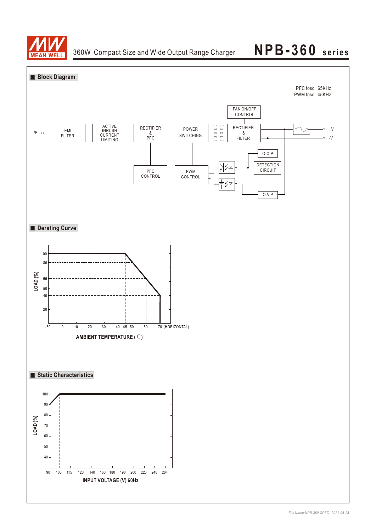

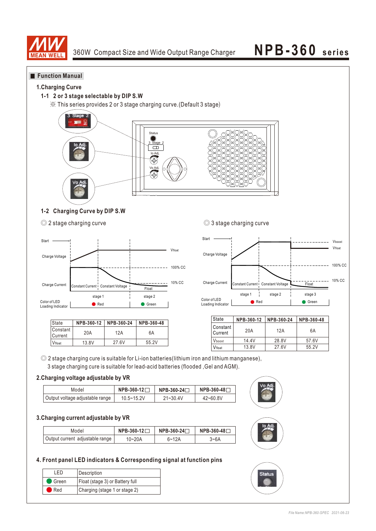

### **Function Manual**

### **1.Charging Curve**

### **1-1 2 or 3 stage selectable by DIP S.W**

※ This series provides 2 or 3 stage charging curve.(Default 3 stage)



### **1-2 Charging Curve by DIP S.W**

<sup>◎</sup> 2 stage charging curve ◎ 3 stage charging curve



| State               | NPB-360-12 | NPB-360-24 | NPB-360-48 |
|---------------------|------------|------------|------------|
| Constant<br>Current | 20A        | 12A        | 6A         |
| Vfloat              | 13.8V      | 27.6V      | 55.2V      |



| State                 | NPB-360-12 | NPB-360-24 | NPB-360-48 |
|-----------------------|------------|------------|------------|
| l Constant<br>Current | 20A        | 12A        | 6A         |
| Vhoost                | 14.4V      | 28.8V      | 57.6V      |
| Vfloat                | 13.8V      | 27.6V      | 55.2V      |

**Status** 

◎ 2 stage charging cure is suitable for Li-ion batteries(lithium iron and lithium manganese), 3 stage charging cure is suitable for lead-acid batteries (flooded ,Gel and AGM).

### **2.Charging voltage adjustable by VR**

| Model                           | NPB-360-12 | NPB-360-24 <del></del> | NPB-360-48 <b>Γ</b> |  |
|---------------------------------|------------|------------------------|---------------------|--|
| Output voltage adjustable range | 10.5~15.2V | $21 - 30.4V$           | $42 - 60.8V$        |  |

### **3.Charging current adjustable by VR**

| Model                           | $NPB-360-12$ | NPB-360-24□ | NPB-360-48 <b>Γ</b> |  |
|---------------------------------|--------------|-------------|---------------------|--|
| Output current adjustable range | 10~20A       | $6 - 12A$   | 3~6A                |  |

### **4. Front panel LED indicators & Corresponding signal at function pins**

| FD                 | Description                     |
|--------------------|---------------------------------|
| $\bullet$ Green    | Float (stage 3) or Battery full |
| $\blacksquare$ Red | Charging (stage 1 or stage 2)   |

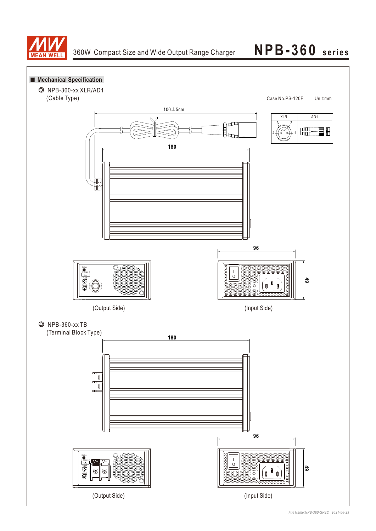



*File Name:NPB-360-SPEC 2021-06-23*